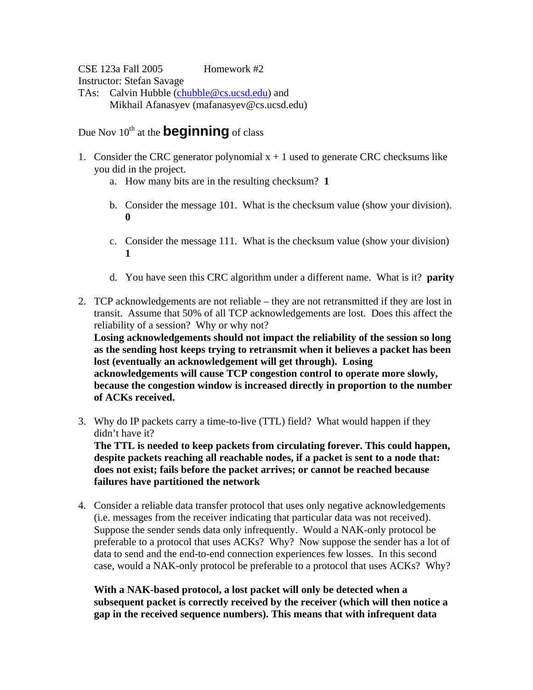CSE 123a Fall 2005 Homework #2 Instructor: Stefan Savage TAs: Calvin Hubble (chubble@cs.ucsd.edu) and Mikhail Afanasyev (mafanasyev@cs.ucsd.edu)

Due Nov 10<sup>th</sup> at the **beginning** of class

- 1. Consider the CRC generator polynomial  $x + 1$  used to generate CRC checksums like you did in the project.
	- a. How many bits are in the resulting checksum? **1**
	- b. Consider the message 101. What is the checksum value (show your division). **0**
	- c. Consider the message 111. What is the checksum value (show your division) **1**
	- d. You have seen this CRC algorithm under a different name. What is it? **parity**
- 2. TCP acknowledgements are not reliable they are not retransmitted if they are lost in transit. Assume that 50% of all TCP acknowledgements are lost. Does this affect the reliability of a session? Why or why not?

**Losing acknowledgements should not impact the reliability of the session so long as the sending host keeps trying to retransmit when it believes a packet has been lost (eventually an acknowledgement will get through). Losing acknowledgements will cause TCP congestion control to operate more slowly, because the congestion window is increased directly in proportion to the number of ACKs received.** 

3. Why do IP packets carry a time-to-live (TTL) field? What would happen if they didn't have it?

**The TTL is needed to keep packets from circulating forever. This could happen, despite packets reaching all reachable nodes, if a packet is sent to a node that: does not exist; fails before the packet arrives; or cannot be reached because failures have partitioned the network**

4. Consider a reliable data transfer protocol that uses only negative acknowledgements (i.e. messages from the receiver indicating that particular data was not received). Suppose the sender sends data only infrequently. Would a NAK-only protocol be preferable to a protocol that uses ACKs? Why? Now suppose the sender has a lot of data to send and the end-to-end connection experiences few losses. In this second case, would a NAK-only protocol be preferable to a protocol that uses ACKs? Why?

**With a NAK-based protocol, a lost packet will only be detected when a subsequent packet is correctly received by the receiver (which will then notice a gap in the received sequence numbers). This means that with infrequent data**